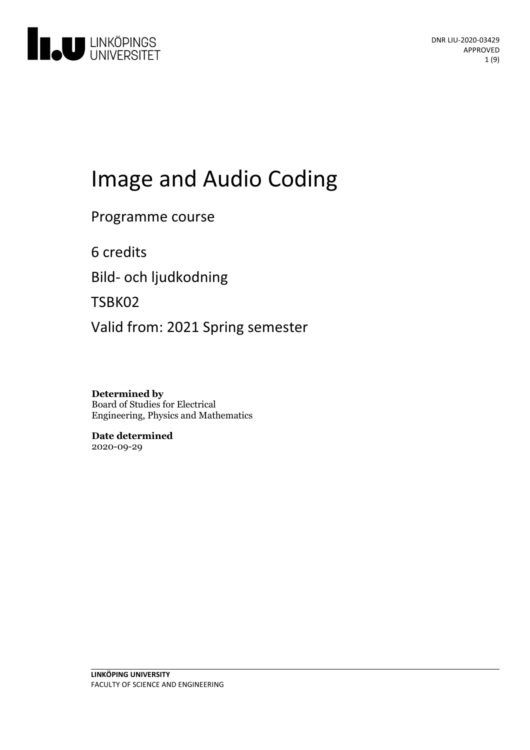

# Image and Audio Coding

Programme course

6 credits

Bild- och ljudkodning

TSBK02

Valid from: 2021 Spring semester

**Determined by** Board of Studies for Electrical Engineering, Physics and Mathematics

**Date determined** 2020-09-29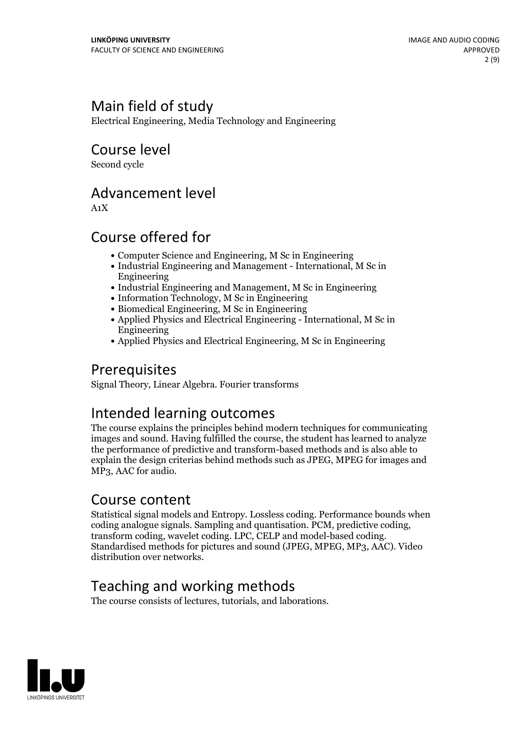# Main field of study

Electrical Engineering, Media Technology and Engineering

Course level

Second cycle

## Advancement level

A1X

# Course offered for

- Computer Science and Engineering, M Sc in Engineering
- Industrial Engineering and Management International, M Sc in Engineering
- Industrial Engineering and Management, M Sc in Engineering
- Information Technology, M Sc in Engineering
- Biomedical Engineering, M Sc in Engineering
- Applied Physics and Electrical Engineering International, M Sc in Engineering
- Applied Physics and Electrical Engineering, M Sc in Engineering

# Prerequisites

Signal Theory, Linear Algebra. Fourier transforms

# Intended learning outcomes

The course explains the principles behind modern techniques for communicating images and sound. Having fulfilled the course, the student has learned to analyze the performance of predictive and transform-based methods and is also able to explain the design criterias behind methods such as JPEG, MPEG for images and MP3, AAC for audio.

## Course content

Statistical signal models and Entropy. Lossless coding. Performance bounds when coding analogue signals. Sampling and quantisation. PCM, predictive coding, transform coding, wavelet coding. LPC, CELP and model-based coding. Standardised methods for pictures and sound (JPEG, MPEG, MP3, AAC). Video distribution over networks.

# Teaching and working methods

The course consists of lectures, tutorials, and laborations.

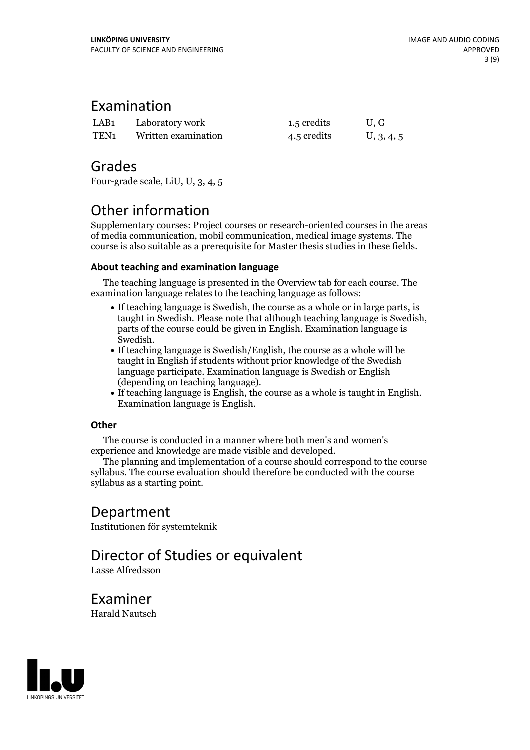### Examination

| LAB <sub>1</sub> | Laboratory work     | 1.5 credits | U, G       |
|------------------|---------------------|-------------|------------|
| TEN <sub>1</sub> | Written examination | 4.5 credits | U, 3, 4, 5 |

### Grades

Four-grade scale, LiU, U, 3, 4, 5

# Other information

Supplementary courses: Project courses or research-oriented courses in the areas of media communication, mobil communication, medical image systems. The course is also suitable as a prerequisite for Master thesis studies in these fields.

### **About teaching and examination language**

The teaching language is presented in the Overview tab for each course. The examination language relates to the teaching language as follows:

- If teaching language is Swedish, the course as a whole or in large parts, is taught in Swedish. Please note that although teaching language is Swedish, parts of the course could be given in English. Examination language is
- Swedish.<br>• If teaching language is Swedish/English, the course as a whole will be taught in English if students without prior knowledge of the Swedish language participate. Examination language is Swedish or English
- (depending on teaching language).<br>• If teaching language is English, the course as a whole is taught in English.<br>Examination language is English.

### **Other**

The course is conducted in a manner where both men's and women's

experience and knowledge are made visible and developed. The planning and implementation of <sup>a</sup> course should correspond to the course syllabus. The course evaluation should therefore be conducted with the course syllabus as a starting point.

### Department

Institutionen för systemteknik

# Director of Studies or equivalent

Lasse Alfredsson

Examiner Harald Nautsch

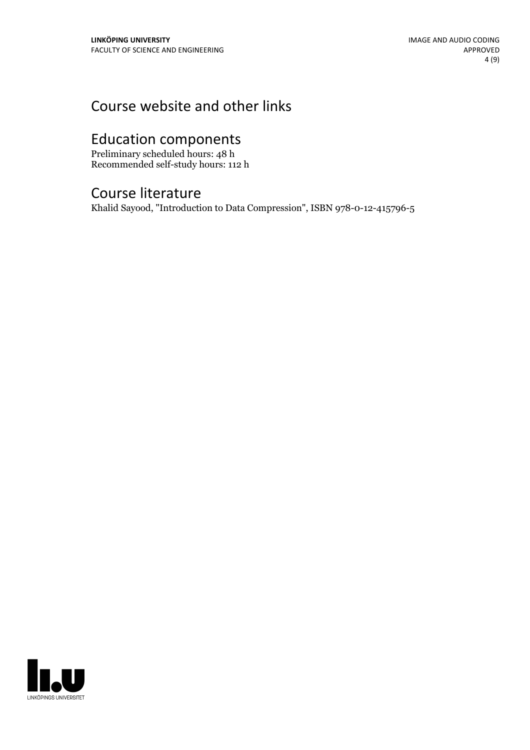# Course website and other links

# Education components

Preliminary scheduled hours: 48 h Recommended self-study hours: 112 h

# Course literature

Khalid Sayood, "Introduction to Data Compression", ISBN 978-0-12-415796-5

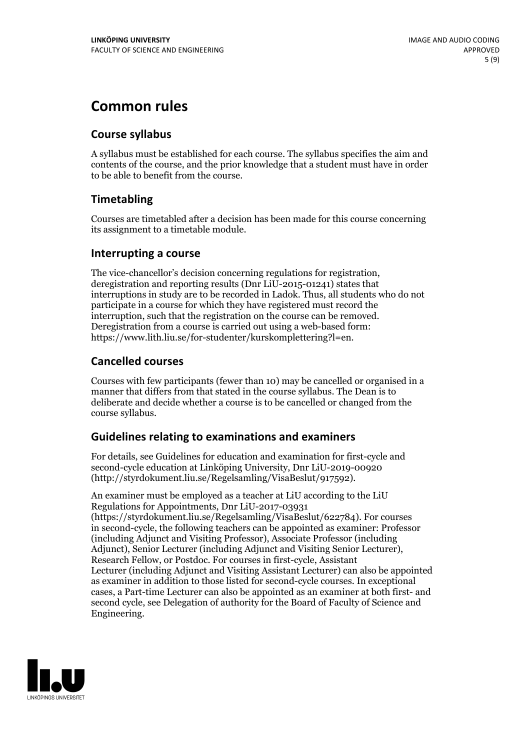# **Common rules**

### **Course syllabus**

A syllabus must be established for each course. The syllabus specifies the aim and contents of the course, and the prior knowledge that a student must have in order to be able to benefit from the course.

### **Timetabling**

Courses are timetabled after a decision has been made for this course concerning its assignment to a timetable module.

### **Interrupting a course**

The vice-chancellor's decision concerning regulations for registration, deregistration and reporting results (Dnr LiU-2015-01241) states that interruptions in study are to be recorded in Ladok. Thus, all students who do not participate in a course for which they have registered must record the interruption, such that the registration on the course can be removed. Deregistration from <sup>a</sup> course is carried outusing <sup>a</sup> web-based form: https://www.lith.liu.se/for-studenter/kurskomplettering?l=en.

### **Cancelled courses**

Courses with few participants (fewer than 10) may be cancelled or organised in a manner that differs from that stated in the course syllabus. The Dean is to deliberate and decide whether a course is to be cancelled or changed from the course syllabus.

### **Guidelines relatingto examinations and examiners**

For details, see Guidelines for education and examination for first-cycle and second-cycle education at Linköping University, Dnr LiU-2019-00920 (http://styrdokument.liu.se/Regelsamling/VisaBeslut/917592).

An examiner must be employed as a teacher at LiU according to the LiU Regulations for Appointments, Dnr LiU-2017-03931 (https://styrdokument.liu.se/Regelsamling/VisaBeslut/622784). For courses in second-cycle, the following teachers can be appointed as examiner: Professor (including Adjunct and Visiting Professor), Associate Professor (including Adjunct), Senior Lecturer (including Adjunct and Visiting Senior Lecturer), Research Fellow, or Postdoc. For courses in first-cycle, Assistant Lecturer (including Adjunct and Visiting Assistant Lecturer) can also be appointed as examiner in addition to those listed for second-cycle courses. In exceptional cases, a Part-time Lecturer can also be appointed as an examiner at both first- and second cycle, see Delegation of authority for the Board of Faculty of Science and Engineering.

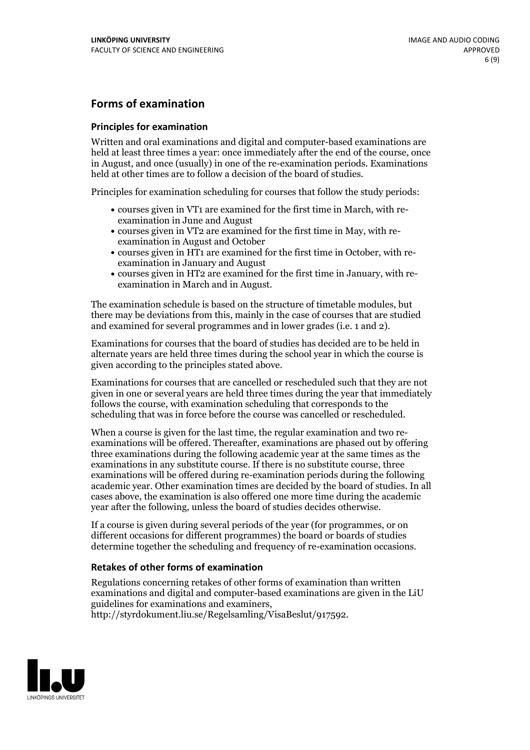### **Forms of examination**

#### **Principles for examination**

Written and oral examinations and digital and computer-based examinations are held at least three times a year: once immediately after the end of the course, once in August, and once (usually) in one of the re-examination periods. Examinations held at other times are to follow a decision of the board of studies.

Principles for examination scheduling for courses that follow the study periods:

- courses given in VT1 are examined for the first time in March, with re-examination in June and August
- courses given in VT2 are examined for the first time in May, with re-examination in August and October
- courses given in HT1 are examined for the first time in October, with re-examination in January and August
- courses given in HT2 are examined for the first time in January, with re-examination in March and in August.

The examination schedule is based on the structure of timetable modules, but there may be deviations from this, mainly in the case of courses that are studied and examined for several programmes and in lower grades (i.e. 1 and 2).

Examinations for courses that the board of studies has decided are to be held in alternate years are held three times during the school year in which the course is given according to the principles stated above.

Examinations for courses that are cancelled orrescheduled such that they are not given in one or several years are held three times during the year that immediately follows the course, with examination scheduling that corresponds to the scheduling that was in force before the course was cancelled or rescheduled.

When a course is given for the last time, the regular examination and two re-<br>examinations will be offered. Thereafter, examinations are phased out by offering three examinations during the following academic year at the same times as the examinations in any substitute course. If there is no substitute course, three examinations will be offered during re-examination periods during the following academic year. Other examination times are decided by the board of studies. In all cases above, the examination is also offered one more time during the academic year after the following, unless the board of studies decides otherwise.

If a course is given during several periods of the year (for programmes, or on different occasions for different programmes) the board or boards of studies determine together the scheduling and frequency of re-examination occasions.

#### **Retakes of other forms of examination**

Regulations concerning retakes of other forms of examination than written examinations and digital and computer-based examinations are given in the LiU guidelines for examinations and examiners, http://styrdokument.liu.se/Regelsamling/VisaBeslut/917592.

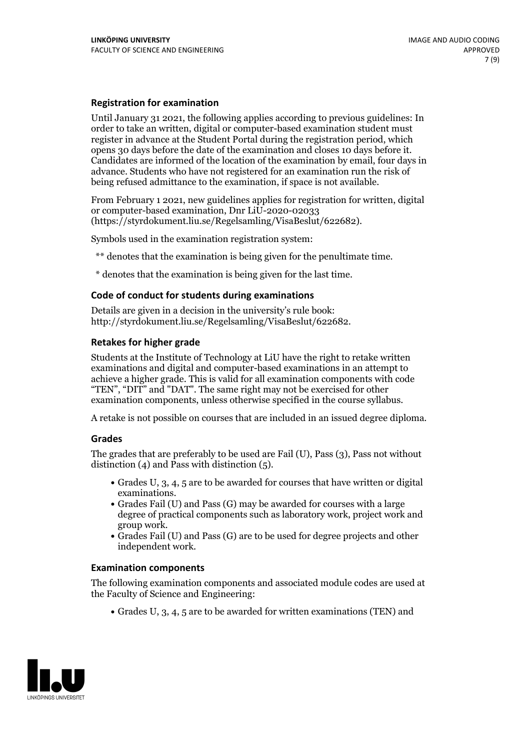### **Registration for examination**

Until January 31 2021, the following applies according to previous guidelines: In order to take an written, digital or computer-based examination student must register in advance at the Student Portal during the registration period, which Candidates are informed of the location of the examination by email, four days in advance. Students who have not registered for an examination run the risk of being refused admittance to the examination, if space is not available.

From February 1 2021, new guidelines applies for registration for written, digital or computer-based examination, Dnr LiU-2020-02033 (https://styrdokument.liu.se/Regelsamling/VisaBeslut/622682).

Symbols used in the examination registration system:

\*\* denotes that the examination is being given for the penultimate time.

\* denotes that the examination is being given for the last time.

#### **Code of conduct for students during examinations**

Details are given in a decision in the university's rule book: http://styrdokument.liu.se/Regelsamling/VisaBeslut/622682.

### **Retakes for higher grade**

Students at the Institute of Technology at LiU have the right to retake written examinations and digital and computer-based examinations in an attempt to achieve a higher grade. This is valid for all examination components with code "TEN", "DIT" and "DAT". The same right may not be exercised for other examination components, unless otherwise specified in the course syllabus.

A retake is not possible on courses that are included in an issued degree diploma.

#### **Grades**

The grades that are preferably to be used are Fail (U), Pass (3), Pass not without distinction  $(4)$  and Pass with distinction  $(5)$ .

- Grades U, 3, 4, 5 are to be awarded for courses that have written or digital examinations.<br>• Grades Fail (U) and Pass (G) may be awarded for courses with a large
- degree of practical components such as laboratory work, project work and
- $\bullet$  Grades Fail (U) and Pass (G) are to be used for degree projects and other independent work.

#### **Examination components**

The following examination components and associated module codes are used at the Faculty of Science and Engineering:

Grades U, 3, 4, 5 are to be awarded for written examinations (TEN) and

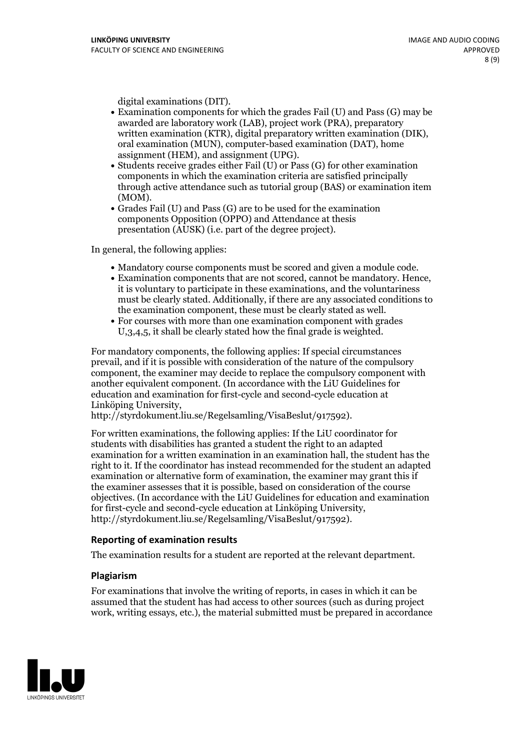- digital examinations (DIT).<br>• Examination components for which the grades Fail (U) and Pass (G) may be awarded are laboratory work (LAB), project work (PRA), preparatory written examination (KTR), digital preparatory written examination (DIK), oral examination (MUN), computer-based examination (DAT), home
- assignment (HEM), and assignment (UPG).<br>• Students receive grades either Fail (U) or Pass (G) for other examination components in which the examination criteria are satisfied principally through active attendance such as tutorial group (BAS) or examination item
- (MOM).<br>• Grades Fail (U) and Pass (G) are to be used for the examination components Opposition (OPPO) and Attendance at thesis presentation (AUSK) (i.e. part of the degree project).

In general, the following applies:

- 
- Mandatory course components must be scored and given <sup>a</sup> module code. Examination components that are not scored, cannot be mandatory. Hence, it is voluntary to participate in these examinations, and the voluntariness must be clearly stated. Additionally, if there are any associated conditions to the examination component, these must be clearly stated as well.<br>• For courses with more than one examination component with grades
- U,3,4,5, it shall be clearly stated how the final grade is weighted.

For mandatory components, the following applies: If special circumstances prevail, and if it is possible with consideration of the nature ofthe compulsory component, the examiner may decide to replace the compulsory component with another equivalent component. (In accordance with the LiU Guidelines for education and examination for first-cycle and second-cycle education at Linköping University, http://styrdokument.liu.se/Regelsamling/VisaBeslut/917592).

For written examinations, the following applies: If the LiU coordinator for students with disabilities has granted a student the right to an adapted examination for a written examination in an examination hall, the student has the right to it. If the coordinator has instead recommended for the student an adapted examination or alternative form of examination, the examiner may grant this if the examiner assesses that it is possible, based on consideration of the course objectives. (In accordance with the LiU Guidelines for education and examination for first-cycle and second-cycle education at Linköping University, http://styrdokument.liu.se/Regelsamling/VisaBeslut/917592).

#### **Reporting of examination results**

The examination results for a student are reported at the relevant department.

#### **Plagiarism**

For examinations that involve the writing of reports, in cases in which it can be assumed that the student has had access to other sources (such as during project work, writing essays, etc.), the material submitted must be prepared in accordance